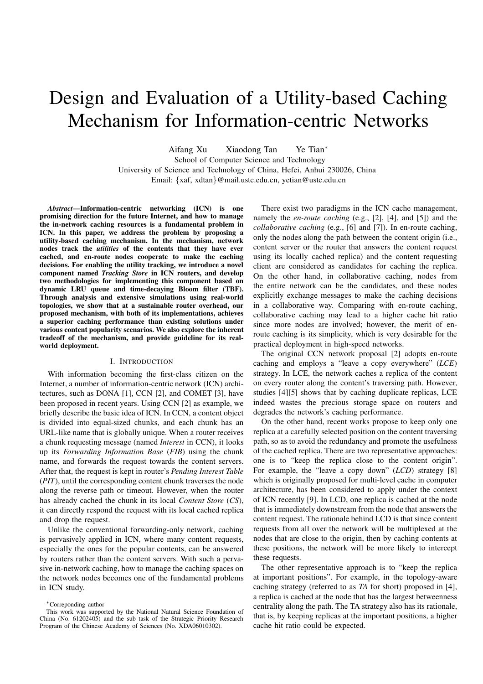# Design and Evaluation of a Utility-based Caching Mechanism for Information-centric Networks

Aifang Xu Xiaodong Tan Ye Tian<sup>∗</sup>

School of Computer Science and Technology University of Science and Technology of China, Hefei, Anhui 230026, China Email: {xaf, xdtan}@mail.ustc.edu.cn, yetian@ustc.edu.cn

*Abstract***—Information-centric networking (ICN) is one promising direction for the future Internet, and how to manage the in-network caching resources is a fundamental problem in ICN. In this paper, we address the problem by proposing a utility-based caching mechanism. In the mechanism, network nodes track the** *utilities* **of the contents that they have ever cached, and en-route nodes cooperate to make the caching decisions. For enabling the utility tracking, we introduce a novel component named** *Tracking Store* **in ICN routers, and develop two methodologies for implementing this component based on dynamic LRU queue and time-decaying Bloom filter (TBF). Through analysis and extensive simulations using real-world topologies, we show that at a sustainable router overhead, our proposed mechanism, with both of its implementations, achieves a superior caching performance than existing solutions under various content popularity scenarios. We also explore the inherent tradeoff of the mechanism, and provide guideline for its realworld deployment.**

# I. INTRODUCTION

With information becoming the first-class citizen on the Internet, a number of information-centric network (ICN) architectures, such as DONA [1], CCN [2], and COMET [3], have been proposed in recent years. Using CCN [2] as example, we briefly describe the basic idea of ICN. In CCN, a content object is divided into equal-sized chunks, and each chunk has an URL-like name that is globally unique. When a router receives a chunk requesting message (named *Interest* in CCN), it looks up its *Forwarding Information Base* (*FIB*) using the chunk name, and forwards the request towards the content servers. After that, the request is kept in router's *Pending Interest Table* (*PIT*), until the corresponding content chunk traverses the node along the reverse path or timeout. However, when the router has already cached the chunk in its local *Content Store* (*CS*), it can directly respond the request with its local cached replica and drop the request.

Unlike the conventional forwarding-only network, caching is pervasively applied in ICN, where many content requests, especially the ones for the popular contents, can be answered by routers rather than the content servers. With such a pervasive in-network caching, how to manage the caching spaces on the network nodes becomes one of the fundamental problems in ICN study.

There exist two paradigms in the ICN cache management, namely the *en-route caching* (e.g., [2], [4], and [5]) and the *collaborative caching* (e.g., [6] and [7]). In en-route caching, only the nodes along the path between the content origin (i.e., content server or the router that answers the content request using its locally cached replica) and the content requesting client are considered as candidates for caching the replica. On the other hand, in collaborative caching, nodes from the entire network can be the candidates, and these nodes explicitly exchange messages to make the caching decisions in a collaborative way. Comparing with en-route caching, collaborative caching may lead to a higher cache hit ratio since more nodes are involved; however, the merit of enroute caching is its simplicity, which is very desirable for the practical deployment in high-speed networks.

The original CCN network proposal [2] adopts en-route caching and employs a "leave a copy everywhere" (*LCE*) strategy. In LCE, the network caches a replica of the content on every router along the content's traversing path. However, studies [4][5] shows that by caching duplicate replicas, LCE indeed wastes the precious storage space on routers and degrades the network's caching performance.

On the other hand, recent works propose to keep only one replica at a carefully selected position on the content traversing path, so as to avoid the redundancy and promote the usefulness of the cached replica. There are two representative approaches: one is to "keep the replica close to the content origin". For example, the "leave a copy down" (*LCD*) strategy [8] which is originally proposed for multi-level cache in computer architecture, has been considered to apply under the context of ICN recently [9]. In LCD, one replica is cached at the node that is immediately downstream from the node that answers the content request. The rationale behind LCD is that since content requests from all over the network will be multiplexed at the nodes that are close to the origin, then by caching contents at these positions, the network will be more likely to intercept these requests.

The other representative approach is to "keep the replica at important positions". For example, in the topology-aware caching strategy (referred to as *TA* for short) proposed in [4], a replica is cached at the node that has the largest betweenness centrality along the path. The TA strategy also has its rationale, that is, by keeping replicas at the important positions, a higher cache hit ratio could be expected.

<sup>∗</sup>Correponding author

This work was supported by the National Natural Science Foundation of China (No. 61202405) and the sub task of the Strategic Priority Research Program of the Chinese Academy of Sciences (No. XDA06010302).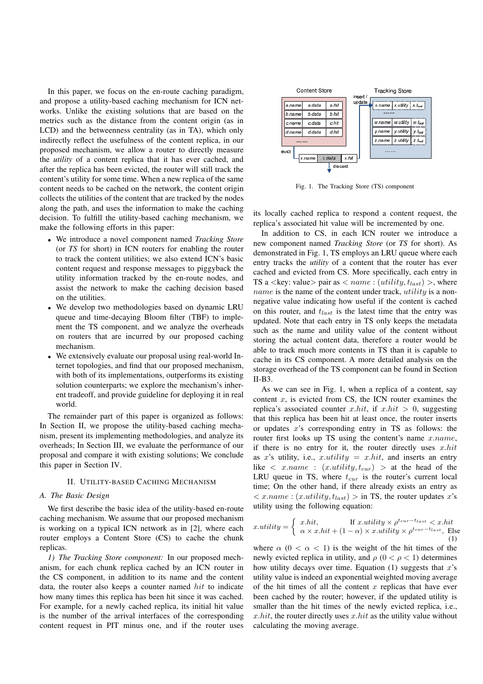In this paper, we focus on the en-route caching paradigm, and propose a utility-based caching mechanism for ICN networks. Unlike the existing solutions that are based on the metrics such as the distance from the content origin (as in LCD) and the betweenness centrality (as in TA), which only indirectly reflect the usefulness of the content replica, in our proposed mechanism, we allow a router to directly measure the *utility* of a content replica that it has ever cached, and after the replica has been evicted, the router will still track the content's utility for some time. When a new replica of the same content needs to be cached on the network, the content origin collects the utilities of the content that are tracked by the nodes along the path, and uses the information to make the caching decision. To fulfill the utility-based caching mechanism, we make the following efforts in this paper:

- We introduce a novel component named *Tracking Store* (or *TS* for short) in ICN routers for enabling the router to track the content utilities; we also extend ICN's basic content request and response messages to piggyback the utility information tracked by the en-route nodes, and assist the network to make the caching decision based on the utilities.
- We develop two methodologies based on dynamic LRU queue and time-decaying Bloom filter (TBF) to implement the TS component, and we analyze the overheads on routers that are incurred by our proposed caching mechanism.
- We extensively evaluate our proposal using real-world Internet topologies, and find that our proposed mechanism, with both of its implementations, outperforms its existing solution counterparts; we explore the mechanism's inherent tradeoff, and provide guideline for deploying it in real world.

The remainder part of this paper is organized as follows: In Section II, we propose the utility-based caching mechanism, present its implementing methodologies, and analyze its overheads; In Section III, we evaluate the performance of our proposal and compare it with existing solutions; We conclude this paper in Section IV.

#### II. UTILITY-BASED CACHING MECHANISM

# *A. The Basic Design*

We first describe the basic idea of the utility-based en-route caching mechanism. We assume that our proposed mechanism is working on a typical ICN network as in [2], where each router employs a Content Store (CS) to cache the chunk replicas.

*1) The Tracking Store component:* In our proposed mechanism, for each chunk replica cached by an ICN router in the CS component, in addition to its name and the content data, the router also keeps a counter named hit to indicate how many times this replica has been hit since it was cached. For example, for a newly cached replica, its initial hit value is the number of the arrival interfaces of the corresponding content request in PIT minus one, and if the router uses



Fig. 1. The Tracking Store (TS) component

its locally cached replica to respond a content request, the replica's associated hit value will be incremented by one.

In addition to CS, in each ICN router we introduce a new component named *Tracking Store* (or *TS* for short). As demonstrated in Fig. 1, TS employs an LRU queue where each entry tracks the *utility* of a content that the router has ever cached and evicted from CS. More specifically, each entry in TS a <key: value> pair as <  $name: (utility, t_{last}) >$ , where name is the name of the content under track, *utility* is a nonnegative value indicating how useful if the content is cached on this router, and  $t_{last}$  is the latest time that the entry was updated. Note that each entry in TS only keeps the metadata such as the name and utility value of the content without storing the actual content data, therefore a router would be able to track much more contents in TS than it is capable to cache in its CS component. A more detailed analysis on the storage overhead of the TS component can be found in Section II-B3.

As we can see in Fig. 1, when a replica of a content, say content  $x$ , is evicted from CS, the ICN router examines the replica's associated counter x.hit, if  $x.hit > 0$ , suggesting that this replica has been hit at least once, the router inserts or updates  $x$ 's corresponding entry in TS as follows: the router first looks up TS using the content's name  $x.name$ , if there is no entry for it, the router directly uses  $x.hit$ as x's utility, i.e., x.utility = x.hit, and inserts an entry like  $\langle x \rangle$  x. name :  $(x.utility, t_{cur}) >$  at the head of the LRU queue in TS, where  $t_{cur}$  is the router's current local time; On the other hand, if there already exists an entry as  $\langle x \rangle$  x. name :  $(x.utility, t_{last}) >$  in TS, the router updates x's utility using the following equation:

$$
x.utility = \begin{cases} x.hit, & \text{If } x.utility \times \rho^{t_{cur}-t_{last}} < x.hit \\ \alpha \times x.hit + (1-\alpha) \times x.utility \times \rho^{t_{cur}-t_{last}}, & \text{Else} \\ (1) \end{cases}
$$

where  $\alpha$  (0 <  $\alpha$  < 1) is the weight of the hit times of the newly evicted replica in utility, and  $\rho$  ( $0 < \rho < 1$ ) determines how utility decays over time. Equation (1) suggests that  $x$ 's utility value is indeed an exponential weighted moving average of the hit times of all the content  $x$  replicas that have ever been cached by the router; however, if the updated utility is smaller than the hit times of the newly evicted replica, i.e.,  $x.hit$ , the router directly uses  $x.hit$  as the utility value without calculating the moving average.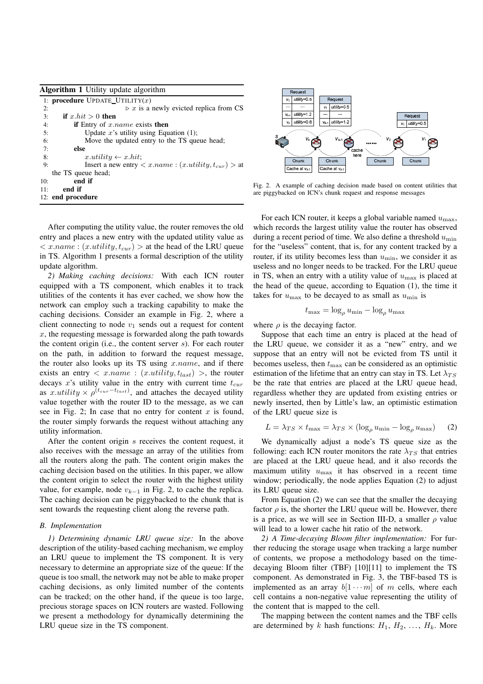| <b>Algorithm 1</b> Utility update algorithm |                                                                       |
|---------------------------------------------|-----------------------------------------------------------------------|
|                                             | 1: <b>procedure</b> UPDATE_UTILITY $(x)$                              |
| 2:                                          | $\triangleright$ x is a newly evicted replica from CS                 |
| 3:                                          | if $x.hit > 0$ then                                                   |
| 4:                                          | <b>if</b> Entry of x. <i>name</i> exists then                         |
| 5:                                          | Update $x$ 's utility using Equation $(1)$ ;                          |
| 6:                                          | Move the updated entry to the TS queue head;                          |
| 7:                                          | else                                                                  |
| 8:                                          | $x.utility \leftarrow x.hit;$                                         |
| 9:                                          | Insert a new entry $\langle x.name : (x.utility, t_{cur}) \rangle$ at |
|                                             | the TS queue head;                                                    |
| 10:                                         | end if                                                                |
| 11:                                         | end if                                                                |
|                                             | 12: end procedure                                                     |

After computing the utility value, the router removes the old entry and places a new entry with the updated utility value as  $\langle x . \text{name} : (x . \text{utility}, t_{\text{cur}}) \rangle$  at the head of the LRU queue in TS. Algorithm 1 presents a formal description of the utility update algorithm.

*2) Making caching decisions:* With each ICN router equipped with a TS component, which enables it to track utilities of the contents it has ever cached, we show how the network can employ such a tracking capability to make the caching decisions. Consider an example in Fig. 2, where a client connecting to node  $v_1$  sends out a request for content  $x$ , the requesting message is forwarded along the path towards the content origin (i.e., the content server  $s$ ). For each router on the path, in addition to forward the request message, the router also looks up its TS using  $x.name$ , and if there exists an entry  $\langle x . \text{name} : (x . \text{utility}, t_{last}) \rangle$ , the router decays  $x$ 's utility value in the entry with current time  $t_{cur}$ as x.utility  $\frac{\partial (t_{cur} - t_{last})}{\partial t}$ , and attaches the decayed utility value together with the router ID to the message, as we can see in Fig. 2; In case that no entry for content  $x$  is found, the router simply forwards the request without attaching any utility information.

After the content origin s receives the content request, it also receives with the message an array of the utilities from all the routers along the path. The content origin makes the caching decision based on the utilities. In this paper, we allow the content origin to select the router with the highest utility value, for example, node  $v_{k-1}$  in Fig. 2, to cache the replica. The caching decision can be piggybacked to the chunk that is sent towards the requesting client along the reverse path.

# *B. Implementation*

*1) Determining dynamic LRU queue size:* In the above description of the utility-based caching mechanism, we employ an LRU queue to implement the TS component. It is very necessary to determine an appropriate size of the queue: If the queue is too small, the network may not be able to make proper caching decisions, as only limited number of the contents can be tracked; on the other hand, if the queue is too large, precious storage spaces on ICN routers are wasted. Following we present a methodology for dynamically determining the LRU queue size in the TS component.



Fig. 2. A example of caching decision made based on content utilities that are piggybacked on ICN's chunk request and response messages

For each ICN router, it keeps a global variable named  $u_{\text{max}}$ , which records the largest utility value the router has observed during a recent period of time. We also define a threshold  $u_{\min}$ for the "useless" content, that is, for any content tracked by a router, if its utility becomes less than  $u_{\min}$ , we consider it as useless and no longer needs to be tracked. For the LRU queue in TS, when an entry with a utility value of  $u_{\text{max}}$  is placed at the head of the queue, according to Equation (1), the time it takes for  $u_{\text{max}}$  to be decayed to as small as  $u_{\text{min}}$  is

$$
t_{\max} = \log_{\rho} u_{\min} - \log_{\rho} u_{\max}
$$

where  $\rho$  is the decaying factor.

Suppose that each time an entry is placed at the head of the LRU queue, we consider it as a "new" entry, and we suppose that an entry will not be evicted from TS until it becomes useless, then  $t_{\text{max}}$  can be considered as an optimistic estimation of the lifetime that an entry can stay in TS. Let  $\lambda_{TS}$ be the rate that entries are placed at the LRU queue head, regardless whether they are updated from existing entries or newly inserted, then by Little's law, an optimistic estimation of the LRU queue size is

$$
L = \lambda_{TS} \times t_{\text{max}} = \lambda_{TS} \times (\log_{\rho} u_{\text{min}} - \log_{\rho} u_{\text{max}})
$$
 (2)

We dynamically adjust a node's TS queue size as the following: each ICN router monitors the rate  $\lambda_{TS}$  that entries are placed at the LRU queue head, and it also records the maximum utility  $u_{\text{max}}$  it has observed in a recent time window; periodically, the node applies Equation (2) to adjust its LRU queue size.

From Equation (2) we can see that the smaller the decaying factor  $\rho$  is, the shorter the LRU queue will be. However, there is a price, as we will see in Section III-D, a smaller  $\rho$  value will lead to a lower cache hit ratio of the network.

*2) A Time-decaying Bloom filter implementation:* For further reducing the storage usage when tracking a large number of contents, we propose a methodology based on the timedecaying Bloom filter (TBF) [10][11] to implement the TS component. As demonstrated in Fig. 3, the TBF-based TS is implemented as an array  $b[1 \cdots m]$  of m cells, where each cell contains a non-negative value representing the utility of the content that is mapped to the cell.

The mapping between the content names and the TBF cells are determined by k hash functions:  $H_1, H_2, \ldots, H_k$ . More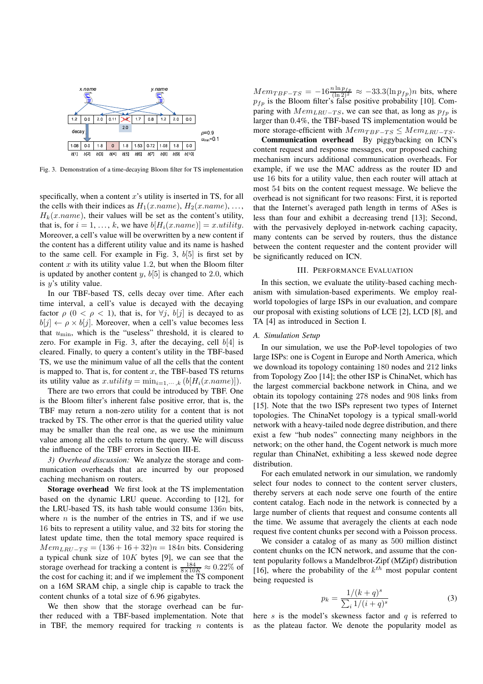

Fig. 3. Demonstration of a time-decaying Bloom filter for TS implementation

specifically, when a content  $x$ 's utility is inserted in TS, for all the cells with their indices as  $H_1(x.name), H_2(x.name), ...,$  $H_k(x.name)$ , their values will be set as the content's utility, that is, for  $i = 1, ..., k$ , we have  $b[H_i(x.name)] = x.utility$ . Moreover, a cell's value will be overwritten by a new content if the content has a different utility value and its name is hashed to the same cell. For example in Fig. 3,  $b[5]$  is first set by content  $x$  with its utility value 1.2, but when the Bloom filter is updated by another content y,  $b[5]$  is changed to 2.0, which is  $y$ 's utility value.

In our TBF-based TS, cells decay over time. After each time interval, a cell's value is decayed with the decaying factor  $\rho$  ( $0 < \rho < 1$ ), that is, for  $\forall j$ ,  $b[j]$  is decayed to as  $b[j] \leftarrow \rho \times b[j]$ . Moreover, when a cell's value becomes less that  $u_{\text{min}}$ , which is the "useless" threshold, it is cleared to zero. For example in Fig. 3, after the decaying, cell  $b[4]$  is cleared. Finally, to query a content's utility in the TBF-based TS, we use the minimum value of all the cells that the content is mapped to. That is, for content  $x$ , the TBF-based TS returns its utility value as  $x.utility = \min_{i=1,\dots,k} (b[H_i(x.name)]).$ 

There are two errors that could be introduced by TBF. One is the Bloom filter's inherent false positive error, that is, the TBF may return a non-zero utility for a content that is not tracked by TS. The other error is that the queried utility value may be smaller than the real one, as we use the minimum value among all the cells to return the query. We will discuss the influence of the TBF errors in Section III-E.

*3) Overhead discussion:* We analyze the storage and communication overheads that are incurred by our proposed caching mechanism on routers.

**Storage overhead** We first look at the TS implementation based on the dynamic LRU queue. According to [12], for the LRU-based TS, its hash table would consume 136n bits, where  $n$  is the number of the entries in TS, and if we use 16 bits to represent a utility value, and 32 bits for storing the latest update time, then the total memory space required is  $Mem_{LRU-TS} = (136 + 16 + 32)n = 184n$  bits. Considering a typical chunk size of  $10K$  bytes [9], we can see that the storage overhead for tracking a content is  $\frac{184}{8 \times 10K} \approx 0.22\%$  of the cost for caching it; and if we implement the TS component on a 16M SRAM chip, a single chip is capable to track the content chunks of a total size of 6.96 gigabytes.

We then show that the storage overhead can be further reduced with a TBF-based implementation. Note that in TBF, the memory required for tracking  $n$  contents is

 $Mem_{TBF-TS} = -16 \frac{n \ln p_{fp}}{(\ln 2)^2} \approx -33.3(\ln p_{fp})n$  bits, where  $p_{fp}$  is the Bloom filter's false positive probability [10]. Comparing with  $Mem_{LRU-TS}$ , we can see that, as long as  $p_{fp}$  is larger than 0.4%, the TBF-based TS implementation would be more storage-efficient with  $Mem_{TBF-TS} \le Mem_{LRU-TS}$ .

**Communication overhead** By piggybacking on ICN's content request and response messages, our proposed caching mechanism incurs additional communication overheads. For example, if we use the MAC address as the router ID and use 16 bits for a utility value, then each router will attach at most 54 bits on the content request message. We believe the overhead is not significant for two reasons: First, it is reported that the Internet's averaged path length in terms of ASes is less than four and exhibit a decreasing trend [13]; Second, with the pervasively deployed in-network caching capacity, many contents can be served by routers, thus the distance between the content requester and the content provider will be significantly reduced on ICN.

#### III. PERFORMANCE EVALUATION

In this section, we evaluate the utility-based caching mechanism with simulation-based experiments. We employ realworld topologies of large ISPs in our evaluation, and compare our proposal with existing solutions of LCE [2], LCD [8], and TA [4] as introduced in Section I.

# *A. Simulation Setup*

In our simulation, we use the PoP-level topologies of two large ISPs: one is Cogent in Europe and North America, which we download its topology containing 180 nodes and 212 links from Topology Zoo [14]; the other ISP is ChinaNet, which has the largest commercial backbone network in China, and we obtain its topology containing 278 nodes and 908 links from [15]. Note that the two ISPs represent two types of Internet topologies. The ChinaNet topology is a typical small-world network with a heavy-tailed node degree distribution, and there exist a few "hub nodes" connecting many neighbors in the network; on the other hand, the Cogent network is much more regular than ChinaNet, exhibiting a less skewed node degree distribution.

For each emulated network in our simulation, we randomly select four nodes to connect to the content server clusters, thereby servers at each node serve one fourth of the entire content catalog. Each node in the network is connected by a large number of clients that request and consume contents all the time. We assume that averagely the clients at each node request five content chunks per second with a Poisson process.

We consider a catalog of as many as 500 million distinct content chunks on the ICN network, and assume that the content popularity follows a Mandelbrot-Zipf (MZipf) distribution [16], where the probability of the  $k^{th}$  most popular content being requested is

$$
p_k = \frac{1/(k+q)^s}{\sum_{i} 1/(i+q)^s}
$$
 (3)

here s is the model's skewness factor and  $q$  is referred to as the plateau factor. We denote the popularity model as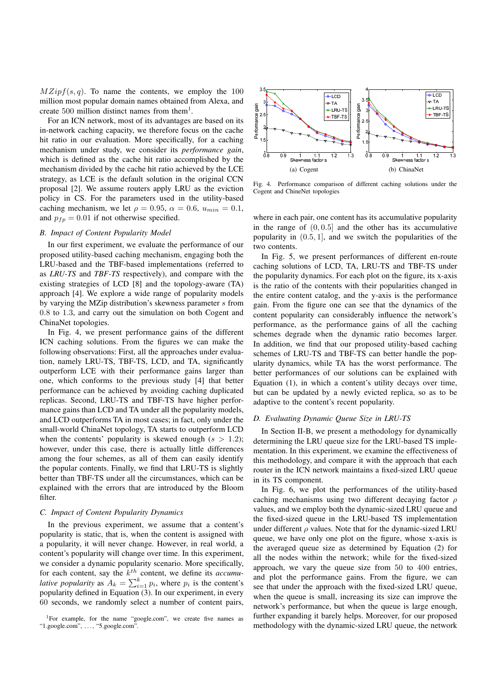$MZipf(s, q)$ . To name the contents, we employ the 100 million most popular domain names obtained from Alexa, and create 500 million distinct names from them<sup>1</sup>.

For an ICN network, most of its advantages are based on its in-network caching capacity, we therefore focus on the cache hit ratio in our evaluation. More specifically, for a caching mechanism under study, we consider its *performance gain*, which is defined as the cache hit ratio accomplished by the mechanism divided by the cache hit ratio achieved by the LCE strategy, as LCE is the default solution in the original CCN proposal [2]. We assume routers apply LRU as the eviction policy in CS. For the parameters used in the utility-based caching mechanism, we let  $\rho = 0.95$ ,  $\alpha = 0.6$ ,  $u_{min} = 0.1$ , and  $p_{fp} = 0.01$  if not otherwise specified.

#### *B. Impact of Content Popularity Model*

In our first experiment, we evaluate the performance of our proposed utility-based caching mechanism, engaging both the LRU-based and the TBF-based implementations (referred to as *LRU-TS* and *TBF-TS* respectively), and compare with the existing strategies of LCD [8] and the topology-aware (TA) approach [4]. We explore a wide range of popularity models by varying the MZip distribution's skewness parameter s from 0.8 to 1.3, and carry out the simulation on both Cogent and ChinaNet topologies.

In Fig. 4, we present performance gains of the different ICN caching solutions. From the figures we can make the following observations: First, all the approaches under evaluation, namely LRU-TS, TBF-TS, LCD, and TA, significantly outperform LCE with their performance gains larger than one, which conforms to the previous study [4] that better performance can be achieved by avoiding caching duplicated replicas. Second, LRU-TS and TBF-TS have higher performance gains than LCD and TA under all the popularity models, and LCD outperforms TA in most cases; in fact, only under the small-world ChinaNet topology, TA starts to outperform LCD when the contents' popularity is skewed enough  $(s > 1.2)$ ; however, under this case, there is actually little differences among the four schemes, as all of them can easily identify the popular contents. Finally, we find that LRU-TS is slightly better than TBF-TS under all the circumstances, which can be explained with the errors that are introduced by the Bloom filter.

# *C. Impact of Content Popularity Dynamics*

In the previous experiment, we assume that a content's popularity is static, that is, when the content is assigned with a popularity, it will never change. However, in real world, a content's popularity will change over time. In this experiment, we consider a dynamic popularity scenario. More specifically, for each content, say the  $k^{th}$  content, we define its *accumulative popularity* as  $A_k = \sum_{i=1}^k p_i$ , where  $p_i$  is the content's popularity defined in Equation (3). In our experiment, in every 60 seconds, we randomly select a number of content pairs,



Fig. 4. Performance comparison of different caching solutions under the Cogent and ChineNet topologies

where in each pair, one content has its accumulative popularity in the range of  $(0, 0.5)$  and the other has its accumulative popularity in  $(0.5, 1)$ , and we switch the popularities of the two contents.

In Fig. 5, we present performances of different en-route caching solutions of LCD, TA, LRU-TS and TBF-TS under the popularity dynamics. For each plot on the figure, its x-axis is the ratio of the contents with their popularities changed in the entire content catalog, and the y-axis is the performance gain. From the figure one can see that the dynamics of the content popularity can considerably influence the network's performance, as the performance gains of all the caching schemes degrade when the dynamic ratio becomes larger. In addition, we find that our proposed utility-based caching schemes of LRU-TS and TBF-TS can better handle the popularity dynamics, while TA has the worst performance. The better performances of our solutions can be explained with Equation (1), in which a content's utility decays over time, but can be updated by a newly evicted replica, so as to be adaptive to the content's recent popularity.

#### *D. Evaluating Dynamic Queue Size in LRU-TS*

In Section II-B, we present a methodology for dynamically determining the LRU queue size for the LRU-based TS implementation. In this experiment, we examine the effectiveness of this methodology, and compare it with the approach that each router in the ICN network maintains a fixed-sized LRU queue in its TS component.

In Fig. 6, we plot the performances of the utility-based caching mechanisms using two different decaying factor ρ values, and we employ both the dynamic-sized LRU queue and the fixed-sized queue in the LRU-based TS implementation under different  $\rho$  values. Note that for the dynamic-sized LRU queue, we have only one plot on the figure, whose x-axis is the averaged queue size as determined by Equation (2) for all the nodes within the network; while for the fixed-sized approach, we vary the queue size from 50 to 400 entries, and plot the performance gains. From the figure, we can see that under the approach with the fixed-sized LRU queue, when the queue is small, increasing its size can improve the network's performance, but when the queue is large enough, further expanding it barely helps. Moreover, for our proposed methodology with the dynamic-sized LRU queue, the network

<sup>1</sup>For example, for the name "google.com", we create five names as "1.google.com", . . . , "5.google.com".